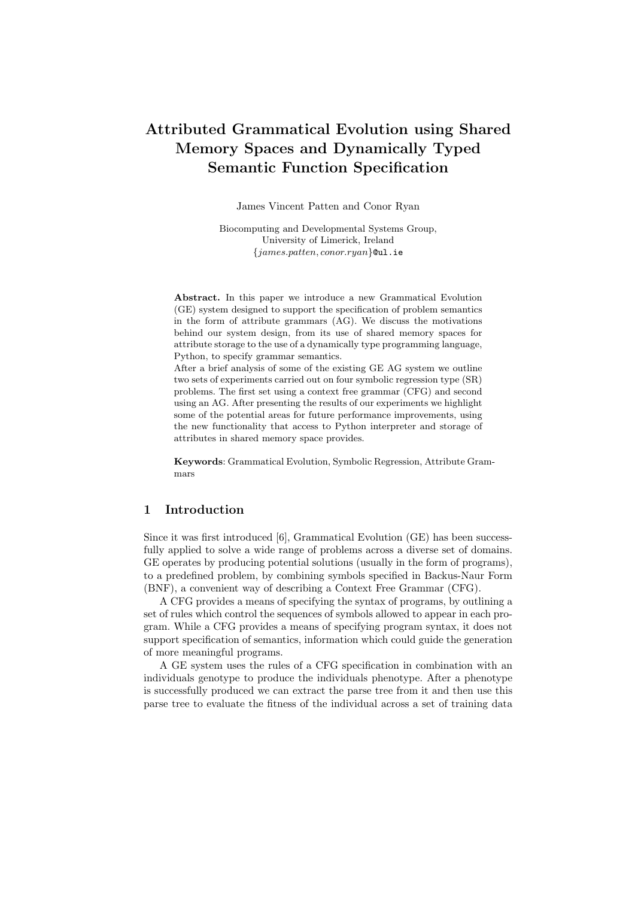# Attributed Grammatical Evolution using Shared Memory Spaces and Dynamically Typed Semantic Function Specification

James Vincent Patten and Conor Ryan

Biocomputing and Developmental Systems Group, University of Limerick, Ireland {james.patten, conor.ryan}@ul.ie

Abstract. In this paper we introduce a new Grammatical Evolution (GE) system designed to support the specification of problem semantics in the form of attribute grammars (AG). We discuss the motivations behind our system design, from its use of shared memory spaces for attribute storage to the use of a dynamically type programming language, Python, to specify grammar semantics.

After a brief analysis of some of the existing GE AG system we outline two sets of experiments carried out on four symbolic regression type (SR) problems. The first set using a context free grammar (CFG) and second using an AG. After presenting the results of our experiments we highlight some of the potential areas for future performance improvements, using the new functionality that access to Python interpreter and storage of attributes in shared memory space provides.

Keywords: Grammatical Evolution, Symbolic Regression, Attribute Grammars

# 1 Introduction

Since it was first introduced [6], Grammatical Evolution (GE) has been successfully applied to solve a wide range of problems across a diverse set of domains. GE operates by producing potential solutions (usually in the form of programs), to a predefined problem, by combining symbols specified in Backus-Naur Form (BNF), a convenient way of describing a Context Free Grammar (CFG).

A CFG provides a means of specifying the syntax of programs, by outlining a set of rules which control the sequences of symbols allowed to appear in each program. While a CFG provides a means of specifying program syntax, it does not support specification of semantics, information which could guide the generation of more meaningful programs.

A GE system uses the rules of a CFG specification in combination with an individuals genotype to produce the individuals phenotype. After a phenotype is successfully produced we can extract the parse tree from it and then use this parse tree to evaluate the fitness of the individual across a set of training data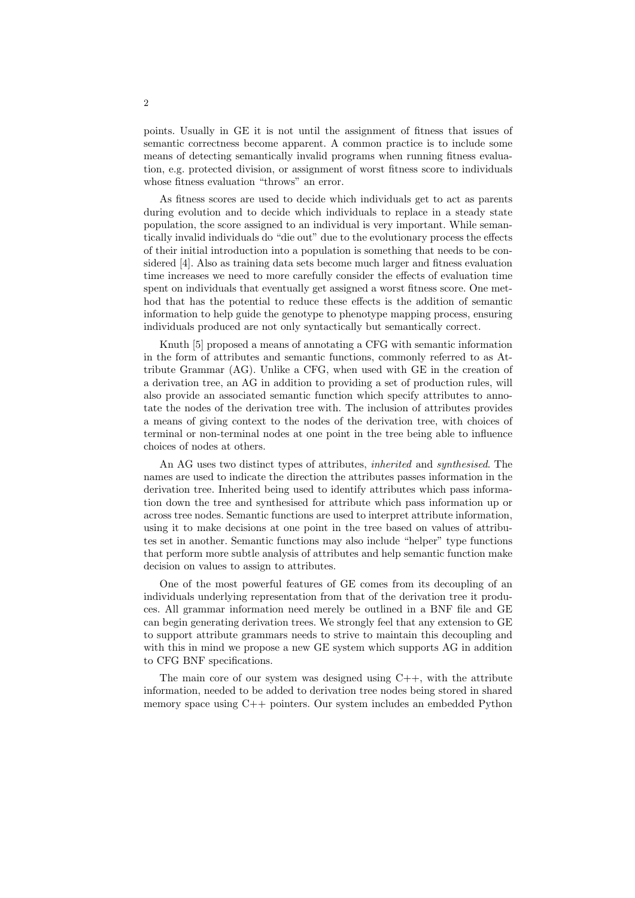points. Usually in GE it is not until the assignment of fitness that issues of semantic correctness become apparent. A common practice is to include some means of detecting semantically invalid programs when running fitness evaluation, e.g. protected division, or assignment of worst fitness score to individuals whose fitness evaluation "throws" an error.

As fitness scores are used to decide which individuals get to act as parents during evolution and to decide which individuals to replace in a steady state population, the score assigned to an individual is very important. While semantically invalid individuals do "die out" due to the evolutionary process the effects of their initial introduction into a population is something that needs to be considered [4]. Also as training data sets become much larger and fitness evaluation time increases we need to more carefully consider the effects of evaluation time spent on individuals that eventually get assigned a worst fitness score. One method that has the potential to reduce these effects is the addition of semantic information to help guide the genotype to phenotype mapping process, ensuring individuals produced are not only syntactically but semantically correct.

Knuth [5] proposed a means of annotating a CFG with semantic information in the form of attributes and semantic functions, commonly referred to as Attribute Grammar (AG). Unlike a CFG, when used with GE in the creation of a derivation tree, an AG in addition to providing a set of production rules, will also provide an associated semantic function which specify attributes to annotate the nodes of the derivation tree with. The inclusion of attributes provides a means of giving context to the nodes of the derivation tree, with choices of terminal or non-terminal nodes at one point in the tree being able to influence choices of nodes at others.

An AG uses two distinct types of attributes, inherited and synthesised. The names are used to indicate the direction the attributes passes information in the derivation tree. Inherited being used to identify attributes which pass information down the tree and synthesised for attribute which pass information up or across tree nodes. Semantic functions are used to interpret attribute information, using it to make decisions at one point in the tree based on values of attributes set in another. Semantic functions may also include "helper" type functions that perform more subtle analysis of attributes and help semantic function make decision on values to assign to attributes.

One of the most powerful features of GE comes from its decoupling of an individuals underlying representation from that of the derivation tree it produces. All grammar information need merely be outlined in a BNF file and GE can begin generating derivation trees. We strongly feel that any extension to GE to support attribute grammars needs to strive to maintain this decoupling and with this in mind we propose a new GE system which supports AG in addition to CFG BNF specifications.

The main core of our system was designed using  $C_{++}$ , with the attribute information, needed to be added to derivation tree nodes being stored in shared memory space using C++ pointers. Our system includes an embedded Python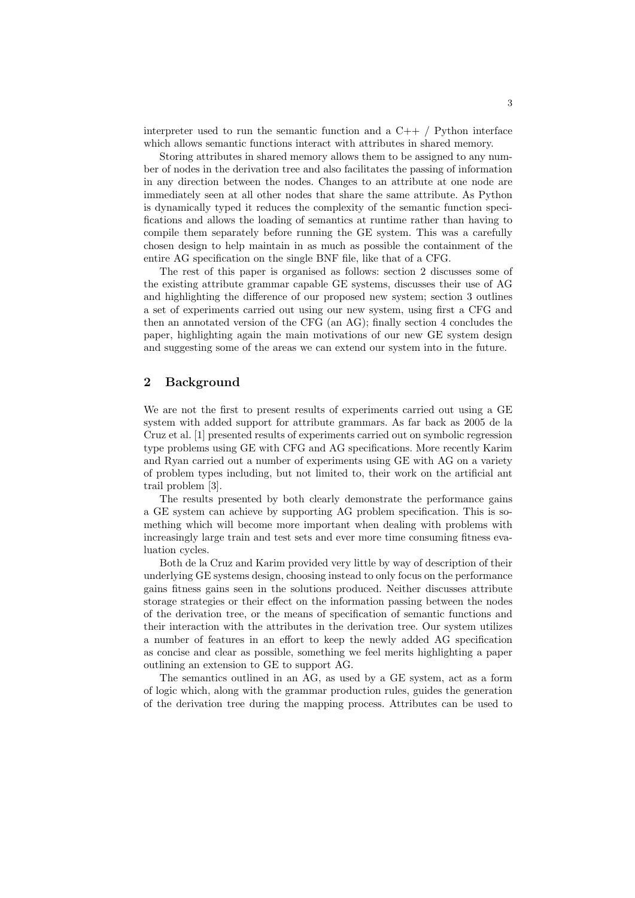interpreter used to run the semantic function and a  $C_{++}$  / Python interface which allows semantic functions interact with attributes in shared memory.

Storing attributes in shared memory allows them to be assigned to any number of nodes in the derivation tree and also facilitates the passing of information in any direction between the nodes. Changes to an attribute at one node are immediately seen at all other nodes that share the same attribute. As Python is dynamically typed it reduces the complexity of the semantic function specifications and allows the loading of semantics at runtime rather than having to compile them separately before running the GE system. This was a carefully chosen design to help maintain in as much as possible the containment of the entire AG specification on the single BNF file, like that of a CFG.

The rest of this paper is organised as follows: section 2 discusses some of the existing attribute grammar capable GE systems, discusses their use of AG and highlighting the difference of our proposed new system; section 3 outlines a set of experiments carried out using our new system, using first a CFG and then an annotated version of the CFG (an AG); finally section 4 concludes the paper, highlighting again the main motivations of our new GE system design and suggesting some of the areas we can extend our system into in the future.

## 2 Background

We are not the first to present results of experiments carried out using a GE system with added support for attribute grammars. As far back as 2005 de la Cruz et al. [1] presented results of experiments carried out on symbolic regression type problems using GE with CFG and AG specifications. More recently Karim and Ryan carried out a number of experiments using GE with AG on a variety of problem types including, but not limited to, their work on the artificial ant trail problem [3].

The results presented by both clearly demonstrate the performance gains a GE system can achieve by supporting AG problem specification. This is something which will become more important when dealing with problems with increasingly large train and test sets and ever more time consuming fitness evaluation cycles.

Both de la Cruz and Karim provided very little by way of description of their underlying GE systems design, choosing instead to only focus on the performance gains fitness gains seen in the solutions produced. Neither discusses attribute storage strategies or their effect on the information passing between the nodes of the derivation tree, or the means of specification of semantic functions and their interaction with the attributes in the derivation tree. Our system utilizes a number of features in an effort to keep the newly added AG specification as concise and clear as possible, something we feel merits highlighting a paper outlining an extension to GE to support AG.

The semantics outlined in an AG, as used by a GE system, act as a form of logic which, along with the grammar production rules, guides the generation of the derivation tree during the mapping process. Attributes can be used to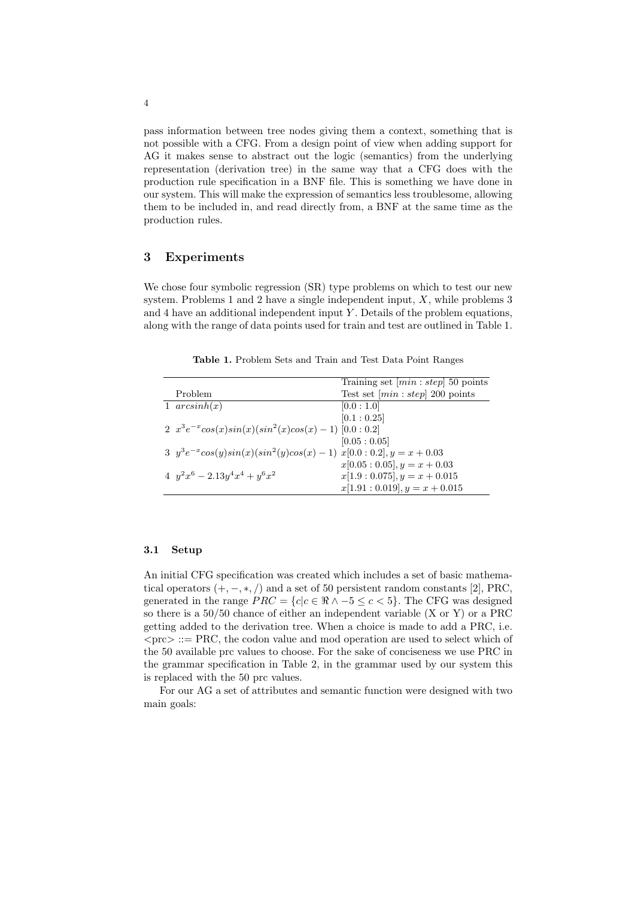pass information between tree nodes giving them a context, something that is not possible with a CFG. From a design point of view when adding support for AG it makes sense to abstract out the logic (semantics) from the underlying representation (derivation tree) in the same way that a CFG does with the production rule specification in a BNF file. This is something we have done in our system. This will make the expression of semantics less troublesome, allowing them to be included in, and read directly from, a BNF at the same time as the production rules.

# 3 Experiments

We chose four symbolic regression  $(SR)$  type problems on which to test our new system. Problems 1 and 2 have a single independent input,  $X$ , while problems 3 and  $4$  have an additional independent input Y. Details of the problem equations, along with the range of data points used for train and test are outlined in Table 1.

Table 1. Problem Sets and Train and Test Data Point Ranges

|                                                                        | Training set $(min:step]$ 50 points |
|------------------------------------------------------------------------|-------------------------------------|
| Problem                                                                | Test set $(min:step]$ 200 points    |
| 1 $arcsinh(x)$                                                         | [0.0:1.0]                           |
|                                                                        | [0.1:0.25]                          |
| 2 $x^3e^{-x}cos(x)sin(x)(sin^2(x)cos(x) - 1)$ [0.0 : 0.2]              |                                     |
|                                                                        | [0.05:0.05]                         |
| 3 $y^3e^{-x}\cos(y)\sin(x)(\sin^2(y)\cos(x)-1)$ $x[0.0:0.2], y=x+0.03$ |                                     |
|                                                                        | $x[0.05:0.05], y = x + 0.03$        |
| $4 y^2 x^6 - 2.13y^4 x^4 + y^6 x^2$                                    | $x[1.9:0.075], y = x + 0.015$       |
|                                                                        | $x[1.91:0.019], y = x + 0.015$      |

#### 3.1 Setup

An initial CFG specification was created which includes a set of basic mathematical operators  $(+, -, *, /)$  and a set of 50 persistent random constants [2], PRC, generated in the range  $PRC = \{c | c \in \Re \land -5 \leq c < 5\}$ . The CFG was designed so there is a 50/50 chance of either an independent variable (X or Y) or a PRC getting added to the derivation tree. When a choice is made to add a PRC, i.e.  $\langle$ prc $\rangle$  ::= PRC, the codon value and mod operation are used to select which of the 50 available prc values to choose. For the sake of conciseness we use PRC in the grammar specification in Table 2, in the grammar used by our system this is replaced with the 50 prc values.

For our AG a set of attributes and semantic function were designed with two main goals: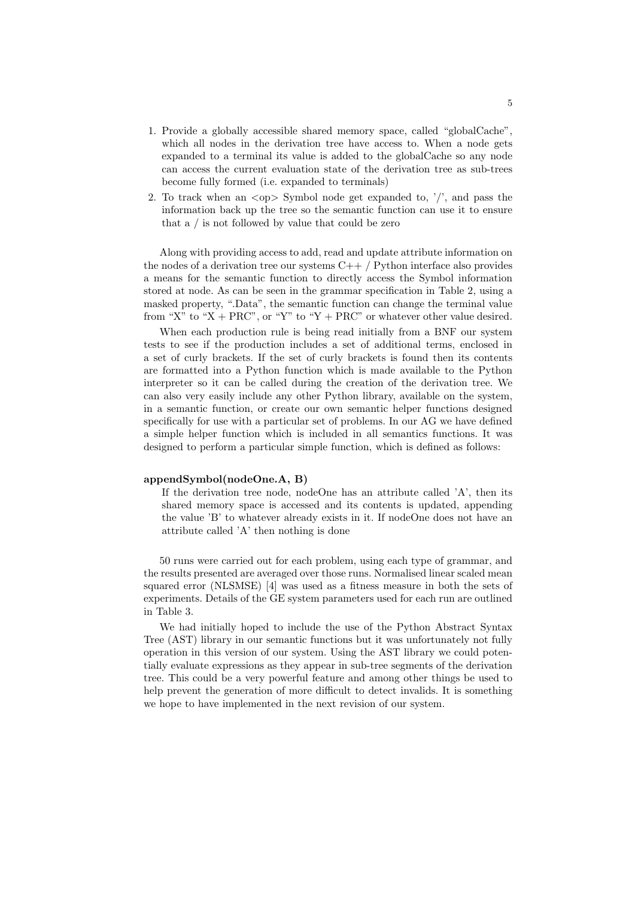- 1. Provide a globally accessible shared memory space, called "globalCache", which all nodes in the derivation tree have access to. When a node gets expanded to a terminal its value is added to the globalCache so any node can access the current evaluation state of the derivation tree as sub-trees become fully formed (i.e. expanded to terminals)
- 2. To track when an  $\langle op \rangle$  Symbol node get expanded to, '/', and pass the information back up the tree so the semantic function can use it to ensure that a / is not followed by value that could be zero

Along with providing access to add, read and update attribute information on the nodes of a derivation tree our systems  $C++/$  Python interface also provides a means for the semantic function to directly access the Symbol information stored at node. As can be seen in the grammar specification in Table 2, using a masked property, ".Data", the semantic function can change the terminal value from "X" to "X + PRC", or "Y" to "Y + PRC" or whatever other value desired.

When each production rule is being read initially from a BNF our system tests to see if the production includes a set of additional terms, enclosed in a set of curly brackets. If the set of curly brackets is found then its contents are formatted into a Python function which is made available to the Python interpreter so it can be called during the creation of the derivation tree. We can also very easily include any other Python library, available on the system, in a semantic function, or create our own semantic helper functions designed specifically for use with a particular set of problems. In our AG we have defined a simple helper function which is included in all semantics functions. It was designed to perform a particular simple function, which is defined as follows:

#### appendSymbol(nodeOne.A, B)

If the derivation tree node, nodeOne has an attribute called 'A', then its shared memory space is accessed and its contents is updated, appending the value 'B' to whatever already exists in it. If nodeOne does not have an attribute called 'A' then nothing is done

50 runs were carried out for each problem, using each type of grammar, and the results presented are averaged over those runs. Normalised linear scaled mean squared error (NLSMSE) [4] was used as a fitness measure in both the sets of experiments. Details of the GE system parameters used for each run are outlined in Table 3.

We had initially hoped to include the use of the Python Abstract Syntax Tree (AST) library in our semantic functions but it was unfortunately not fully operation in this version of our system. Using the AST library we could potentially evaluate expressions as they appear in sub-tree segments of the derivation tree. This could be a very powerful feature and among other things be used to help prevent the generation of more difficult to detect invalids. It is something we hope to have implemented in the next revision of our system.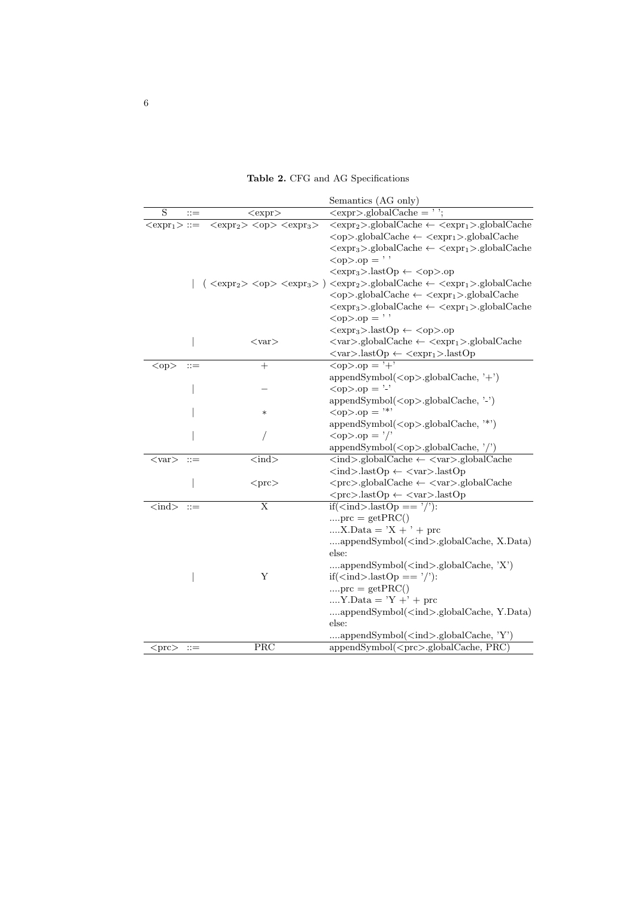Table 2. CFG and AG Specifications

|                                       |                                         | Semantics (AG only)                                                                                                                                                                            |
|---------------------------------------|-----------------------------------------|------------------------------------------------------------------------------------------------------------------------------------------------------------------------------------------------|
| S<br>$::=$                            | $<$ expr $>$                            | $\langle \text{expr}> \text{.globalCache} = ' \rangle$                                                                                                                                         |
| $ ::=$                                | $$ $<$ op> $$                           | $\overline{\langle \text{expr}_2 \rangle \cdot \text{globalCache} \leftarrow \langle \text{expr}_1 \rangle \cdot \text{globalCache}}$                                                          |
|                                       |                                         | $<\!\!op\text{-}\!\!>_g\!\!lobalCache\leftarrow<\!\!expr_1\!\!>_g\!\!lobalCache$                                                                                                               |
|                                       |                                         | $\langle \text{expr}_3 \rangle$ -globalCache $\leftarrow$ $\langle \text{expr}_1 \rangle$ -globalCache                                                                                         |
|                                       |                                         | $<$ op>.op = ''                                                                                                                                                                                |
|                                       |                                         | $\langle \text{expr}_3 \rangle$ .lastOp $\leftarrow$ $\langle \text{op} \rangle$ .op                                                                                                           |
|                                       |                                         | $(\langle \text{expr}_2 \rangle \langle \text{op} \rangle \langle \text{expr}_3 \rangle) \langle \text{expr}_2 \rangle$ .globalCache $\leftarrow$ $\langle \text{expr}_1 \rangle$ .globalCache |
|                                       |                                         | $\langle op \rangle$ -globalCache $\leftarrow$ $\langle expr_1 \rangle$ -globalCache                                                                                                           |
|                                       |                                         | $\langle \text{expr}_3 \rangle$ .globalCache $\leftarrow \langle \text{expr}_1 \rangle$ .globalCache                                                                                           |
|                                       |                                         | $<$ op>.op = ''                                                                                                                                                                                |
|                                       |                                         | $\langle \text{expr}_3 \rangle$ .lastOp $\leftarrow$ $\langle \text{op} \rangle$ .op                                                                                                           |
|                                       | $<$ var $>$                             | $\langle var \rangle$ -globalCache $\langle \langle expr_1 \rangle$ -globalCache                                                                                                               |
|                                       |                                         | $\langle var \rangle$ .lastOp $\leftarrow$ $\langle expr_1 \rangle$ .lastOp                                                                                                                    |
| $<$ op $>$<br>$::=$                   | $^{+}$                                  | $\langle op \rangle \log = \overline{+}'$                                                                                                                                                      |
|                                       |                                         | appendSymbol( <op>.globalCache, '+')</op>                                                                                                                                                      |
|                                       |                                         | $<$ op $>$ .op = '-'                                                                                                                                                                           |
|                                       |                                         | appendSymbol( <op>.globalCache, '-')</op>                                                                                                                                                      |
|                                       | $\ast$                                  | $<\!\!\mathrm{op}\!\!>.\!\mathrm{op} = "**$                                                                                                                                                    |
|                                       |                                         | appendSymbol( <op>.globalCache, '*')</op>                                                                                                                                                      |
|                                       |                                         | $\langle op \rangle$ .op = $\prime$ /'                                                                                                                                                         |
|                                       |                                         | $appendSymbol(op).globalCache, '/')$                                                                                                                                                           |
| $<$ var $>$<br>$::=$                  | $\langle \overline{\text{ind}} \rangle$ | $\langle \text{ind}\rangle$ -globalCache $\langle \text{var}\rangle$ -globalCache                                                                                                              |
|                                       |                                         | $\langle \text{ind}\rangle$ .lastOp $\leftarrow$ $\langle \text{var}\rangle$ .lastOp                                                                                                           |
|                                       | $<$ prc $>$                             |                                                                                                                                                                                                |
|                                       |                                         | $<$ prc>.lastOp $\leftarrow$ <var>.lastOp</var>                                                                                                                                                |
| $\langle \text{ind} \rangle$<br>$::=$ | $\overline{\mathrm{X}}$                 | $if(ind > .lastOp == '/')$ :                                                                                                                                                                   |
|                                       |                                         | $\text{prc} = \text{get} \text{PRC}()$                                                                                                                                                         |
|                                       |                                         | $X.Data = 'X + ' + pre$                                                                                                                                                                        |
|                                       |                                         | appendSymbol( <ind>.globalCache, X.Data)</ind>                                                                                                                                                 |
|                                       |                                         | else:                                                                                                                                                                                          |
|                                       |                                         | appendSymbol( <ind>.globalCache, 'X')</ind>                                                                                                                                                    |
|                                       | Υ                                       | $if(ind > .lastOp == '$ :                                                                                                                                                                      |
|                                       |                                         | $\text{prc} = \text{get} \text{PRC}()$                                                                                                                                                         |
|                                       |                                         | $Y.Data = Y' + Y + \text{pre}$                                                                                                                                                                 |
|                                       |                                         | appendSymbol( <ind>.globalCache, Y.Data)</ind>                                                                                                                                                 |
|                                       |                                         | else:                                                                                                                                                                                          |
|                                       |                                         | appendSymbol( <ind>.globalCache, 'Y')</ind>                                                                                                                                                    |
| $<$ prc $>$<br>$::=$                  | PRC                                     | appendSymbol( <prc>.globalCache, PRC)</prc>                                                                                                                                                    |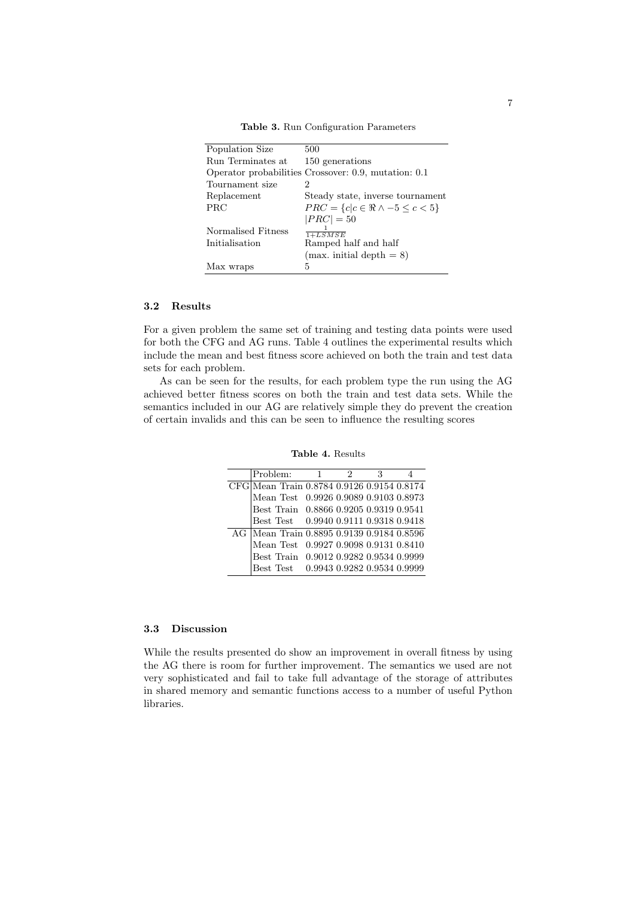| Population Size    | 500                                                  |
|--------------------|------------------------------------------------------|
| Run Terminates at  | 150 generations                                      |
|                    | Operator probabilities Crossover: 0.9, mutation: 0.1 |
| Tournament size    | 2                                                    |
| Replacement        | Steady state, inverse tournament                     |
| PRC                | $PRC = \{c   c \in \Re \land -5 \leq c < 5\}$        |
|                    | $ PRC  = 50$                                         |
| Normalised Fitness | $1+LSMSE$                                            |
| Initialisation     | Ramped half and half                                 |
|                    | $(max. initial depth = 8)$                           |
| Max wraps          | 5                                                    |

Table 3. Run Configuration Parameters

#### 3.2 Results

For a given problem the same set of training and testing data points were used for both the CFG and AG runs. Table 4 outlines the experimental results which include the mean and best fitness score achieved on both the train and test data sets for each problem.

As can be seen for the results, for each problem type the run using the AG achieved better fitness scores on both the train and test data sets. While the semantics included in our AG are relatively simple they do prevent the creation of certain invalids and this can be seen to influence the resulting scores

| Problem:                                   | $\overline{1}$ | 2 |  |
|--------------------------------------------|----------------|---|--|
| CFG Mean Train 0.8784 0.9126 0.9154 0.8174 |                |   |  |
| Mean Test 0.9926 0.9089 0.9103 0.8973      |                |   |  |
| Best Train 0.8866 0.9205 0.9319 0.9541     |                |   |  |
| Best Test 0.9940 0.9111 0.9318 0.9418      |                |   |  |
| AG Mean Train 0.8895 0.9139 0.9184 0.8596  |                |   |  |
| Mean Test 0.9927 0.9098 0.9131 0.8410      |                |   |  |
| Best Train 0.9012 0.9282 0.9534 0.9999     |                |   |  |
| Best Test 0.9943 0.9282 0.9534 0.9999      |                |   |  |

Table 4. Results

### 3.3 Discussion

While the results presented do show an improvement in overall fitness by using the AG there is room for further improvement. The semantics we used are not very sophisticated and fail to take full advantage of the storage of attributes in shared memory and semantic functions access to a number of useful Python libraries.